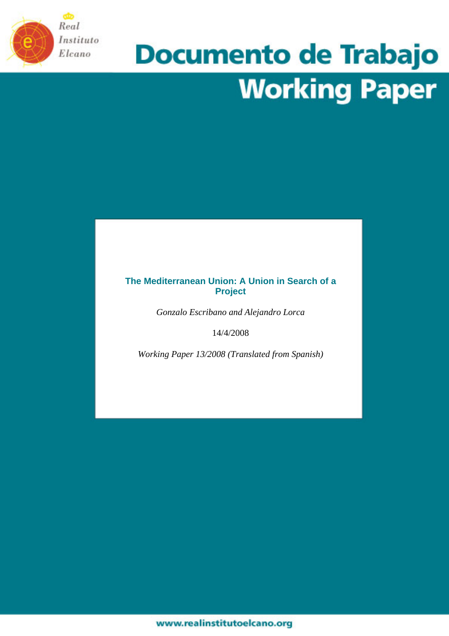

# **Documento de Trabajo Working Paper**

## **The Mediterranean Union: A Union in Search of a Project**

*Gonzalo Escribano and Alejandro Lorca* 

14/4/2008

*Working Paper 13/2008 (Translated from Spanish)*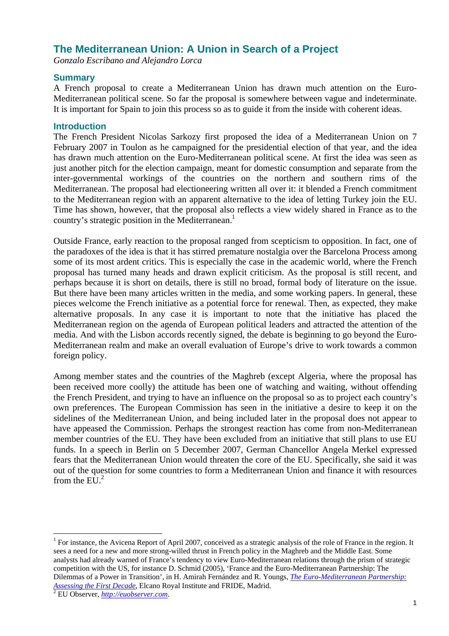# **The Mediterranean Union: A Union in Search of a Project**

*Gonzalo Escribano and Alejandro Lorca* 

#### **Summary**

A French proposal to create a Mediterranean Union has drawn much attention on the Euro-Mediterranean political scene. So far the proposal is somewhere between vague and indeterminate. It is important for Spain to join this process so as to guide it from the inside with coherent ideas.

#### **Introduction**

The French President Nicolas Sarkozy first proposed the idea of a Mediterranean Union on 7 February 2007 in Toulon as he campaigned for the presidential election of that year, and the idea has drawn much attention on the Euro-Mediterranean political scene. At first the idea was seen as just another pitch for the election campaign, meant for domestic consumption and separate from the inter-governmental workings of the countries on the northern and southern rims of the Mediterranean. The proposal had electioneering written all over it: it blended a French commitment to the Mediterranean region with an apparent alternative to the idea of letting Turkey join the EU. Time has shown, however, that the proposal also reflects a view widely shared in France as to the country's strategic position in the Mediterranean.<sup>1</sup>

Outside France, early reaction to the proposal ranged from scepticism to opposition. In fact, one of the paradoxes of the idea is that it has stirred premature nostalgia over the Barcelona Process among some of its most ardent critics. This is especially the case in the academic world, where the French proposal has turned many heads and drawn explicit criticism. As the proposal is still recent, and perhaps because it is short on details, there is still no broad, formal body of literature on the issue. But there have been many articles written in the media, and some working papers. In general, these pieces welcome the French initiative as a potential force for renewal. Then, as expected, they make alternative proposals. In any case it is important to note that the initiative has placed the Mediterranean region on the agenda of European political leaders and attracted the attention of the media. And with the Lisbon accords recently signed, the debate is beginning to go beyond the Euro-Mediterranean realm and make an overall evaluation of Europe's drive to work towards a common foreign policy.

Among member states and the countries of the Maghreb (except Algeria, where the proposal has been received more coolly) the attitude has been one of watching and waiting, without offending the French President, and trying to have an influence on the proposal so as to project each country's own preferences. The European Commission has seen in the initiative a desire to keep it on the sidelines of the Mediterranean Union, and being included later in the proposal does not appear to have appeased the Commission. Perhaps the strongest reaction has come from non-Mediterranean member countries of the EU. They have been excluded from an initiative that still plans to use EU funds. In a speech in Berlin on 5 December 2007, German Chancellor Angela Merkel expressed fears that the Mediterranean Union would threaten the core of the EU. Specifically, she said it was out of the question for some countries to form a Mediterranean Union and finance it with resources from the  $EII^2$ 

<sup>&</sup>lt;sup>1</sup> For instance, the Avicena Report of April 2007, conceived as a strategic analysis of the role of France in the region. It sees a need for a new and more strong-willed thrust in French policy in the Maghreb and the Middle East. Some analysts had already warned of France's tendency to view Euro-Mediterranean relations through the prism of strategic competition with the US, for instance D. Schmid (2005), 'France and the Euro-Mediterranean Partnership: The Dilemmas of a Power in Transition', in H. Amirah Fernández and R. Youngs, *The Euro-Mediterranean Partnership: Assessing the First Decade*, Elcano Royal Institute and FRIDE, Madrid. 2 EU Observer, *http://euobserver.com*.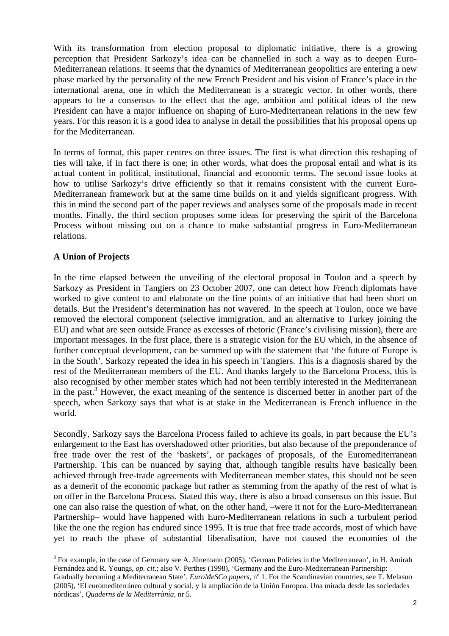With its transformation from election proposal to diplomatic initiative, there is a growing perception that President Sarkozy's idea can be channelled in such a way as to deepen Euro-Mediterranean relations. It seems that the dynamics of Mediterranean geopolitics are entering a new phase marked by the personality of the new French President and his vision of France's place in the international arena, one in which the Mediterranean is a strategic vector. In other words, there appears to be a consensus to the effect that the age, ambition and political ideas of the new President can have a major influence on shaping of Euro-Mediterranean relations in the new few years. For this reason it is a good idea to analyse in detail the possibilities that his proposal opens up for the Mediterranean.

In terms of format, this paper centres on three issues. The first is what direction this reshaping of ties will take, if in fact there is one; in other words, what does the proposal entail and what is its actual content in political, institutional, financial and economic terms. The second issue looks at how to utilise Sarkozy's drive efficiently so that it remains consistent with the current Euro-Mediterranean framework but at the same time builds on it and yields significant progress. With this in mind the second part of the paper reviews and analyses some of the proposals made in recent months. Finally, the third section proposes some ideas for preserving the spirit of the Barcelona Process without missing out on a chance to make substantial progress in Euro-Mediterranean relations.

# **A Union of Projects**

 $\overline{a}$ 

In the time elapsed between the unveiling of the electoral proposal in Toulon and a speech by Sarkozy as President in Tangiers on 23 October 2007, one can detect how French diplomats have worked to give content to and elaborate on the fine points of an initiative that had been short on details. But the President's determination has not wavered. In the speech at Toulon, once we have removed the electoral component (selective immigration, and an alternative to Turkey joining the EU) and what are seen outside France as excesses of rhetoric (France's civilising mission), there are important messages. In the first place, there is a strategic vision for the EU which, in the absence of further conceptual development, can be summed up with the statement that 'the future of Europe is in the South'. Sarkozy repeated the idea in his speech in Tangiers. This is a diagnosis shared by the rest of the Mediterranean members of the EU. And thanks largely to the Barcelona Process, this is also recognised by other member states which had not been terribly interested in the Mediterranean in the past.<sup>3</sup> However, the exact meaning of the sentence is discerned better in another part of the speech, when Sarkozy says that what is at stake in the Mediterranean is French influence in the world.

Secondly, Sarkozy says the Barcelona Process failed to achieve its goals, in part because the EU's enlargement to the East has overshadowed other priorities, but also because of the preponderance of free trade over the rest of the 'baskets', or packages of proposals, of the Euromediterranean Partnership. This can be nuanced by saying that, although tangible results have basically been achieved through free-trade agreements with Mediterranean member states, this should not be seen as a demerit of the economic package but rather as stemming from the apathy of the rest of what is on offer in the Barcelona Process. Stated this way, there is also a broad consensus on this issue. But one can also raise the question of what, on the other hand, –were it not for the Euro-Mediterranean Partnership– would have happened with Euro-Mediterranean relations in such a turbulent period like the one the region has endured since 1995. It is true that free trade accords, most of which have yet to reach the phase of substantial liberalisation, have not caused the economies of the

 $3$  For example, in the case of Germany see A. Jünemann (2005), 'German Policies in the Mediterranean', in H. Amirah Fernández and R. Youngs, *op. cit*.; also V. Perthes (1998), 'Germany and the Euro-Mediterranean Partnership: Gradually becoming a Mediterranean State', *EuroMeSCo papers*, n<sup>o</sup> 1. For the Scandinavian countries, see T. Melasuo (2005), 'El euromediterráneo cultural y social, y la ampliación de la Unión Europea. Una mirada desde las sociedades nórdicas', *Quaderns de la Mediterrània*, nr 5.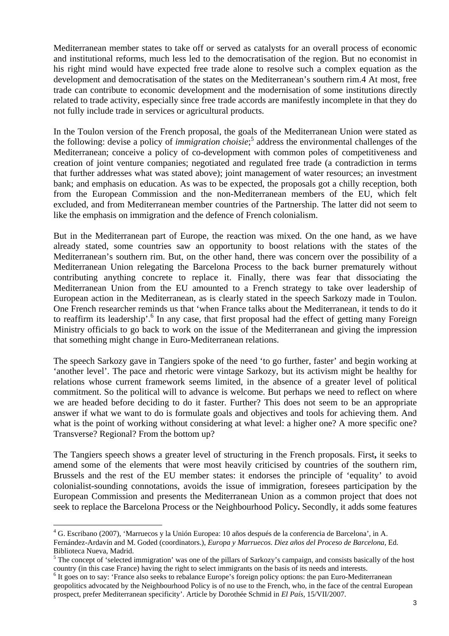Mediterranean member states to take off or served as catalysts for an overall process of economic and institutional reforms, much less led to the democratisation of the region. But no economist in his right mind would have expected free trade alone to resolve such a complex equation as the development and democratisation of the states on the Mediterranean's southern rim.4 At most, free trade can contribute to economic development and the modernisation of some institutions directly related to trade activity, especially since free trade accords are manifestly incomplete in that they do not fully include trade in services or agricultural products.

In the Toulon version of the French proposal, the goals of the Mediterranean Union were stated as the following: devise a policy of *immigration choisie*; 5 address the environmental challenges of the Mediterranean; conceive a policy of co-development with common poles of competitiveness and creation of joint venture companies; negotiated and regulated free trade (a contradiction in terms that further addresses what was stated above); joint management of water resources; an investment bank; and emphasis on education. As was to be expected, the proposals got a chilly reception, both from the European Commission and the non-Mediterranean members of the EU, which felt excluded, and from Mediterranean member countries of the Partnership. The latter did not seem to like the emphasis on immigration and the defence of French colonialism.

But in the Mediterranean part of Europe, the reaction was mixed. On the one hand, as we have already stated, some countries saw an opportunity to boost relations with the states of the Mediterranean's southern rim. But, on the other hand, there was concern over the possibility of a Mediterranean Union relegating the Barcelona Process to the back burner prematurely without contributing anything concrete to replace it. Finally, there was fear that dissociating the Mediterranean Union from the EU amounted to a French strategy to take over leadership of European action in the Mediterranean, as is clearly stated in the speech Sarkozy made in Toulon. One French researcher reminds us that 'when France talks about the Mediterranean, it tends to do it to reaffirm its leadership'.<sup>6</sup> In any case, that first proposal had the effect of getting many Foreign Ministry officials to go back to work on the issue of the Mediterranean and giving the impression that something might change in Euro-Mediterranean relations.

The speech Sarkozy gave in Tangiers spoke of the need 'to go further, faster' and begin working at 'another level'. The pace and rhetoric were vintage Sarkozy, but its activism might be healthy for relations whose current framework seems limited, in the absence of a greater level of political commitment. So the political will to advance is welcome. But perhaps we need to reflect on where we are headed before deciding to do it faster. Further? This does not seem to be an appropriate answer if what we want to do is formulate goals and objectives and tools for achieving them. And what is the point of working without considering at what level: a higher one? A more specific one? Transverse? Regional? From the bottom up?

The Tangiers speech shows a greater level of structuring in the French proposals. First**,** it seeks to amend some of the elements that were most heavily criticised by countries of the southern rim, Brussels and the rest of the EU member states: it endorses the principle of 'equality' to avoid colonialist-sounding connotations, avoids the issue of immigration, foresees participation by the European Commission and presents the Mediterranean Union as a common project that does not seek to replace the Barcelona Process or the Neighbourhood Policy**.** Secondly, it adds some features

<sup>&</sup>lt;sup>4</sup> G. Escribano (2007), 'Marruecos y la Unión Europea: 10 años después de la conferencia de Barcelona', in A. Fernández-Ardavín and M. Goded (coordinators.), *Europa y Marruecos. Diez años del Proceso de Barcelona*, Ed. Biblioteca Nueva, Madrid.

 $<sup>5</sup>$  The concept of 'selected immigration' was one of the pillars of Sarkozy's campaign, and consists basically of the host</sup> country (in this case France) having the right to select immigrants on the basis of its needs and interests. 6

<sup>&</sup>lt;sup>6</sup> It goes on to say: 'France also seeks to rebalance Europe's foreign policy options: the pan Euro-Mediterranean geopolitics advocated by the Neighbourhood Policy is of no use to the French, who, in the face of the central European prospect, prefer Mediterranean specificity'. Article by Dorothée Schmid in *El País*, 15/VII/2007.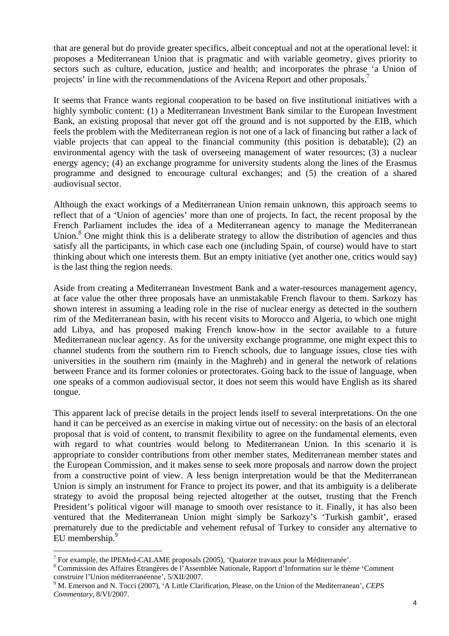that are general but do provide greater specifics, albeit conceptual and not at the operational level: it proposes a Mediterranean Union that is pragmatic and with variable geometry, gives priority to sectors such as culture, education, justice and health; and incorporates the phrase 'a Union of projects' in line with the recommendations of the Avicena Report and other proposals.<sup>7</sup>

It seems that France wants regional cooperation to be based on five institutional initiatives with a highly symbolic content: (1) a Mediterranean Investment Bank similar to the European Investment Bank, an existing proposal that never got off the ground and is not supported by the EIB, which feels the problem with the Mediterranean region is not one of a lack of financing but rather a lack of viable projects that can appeal to the financial community (this position is debatable); (2) an environmental agency with the task of overseeing management of water resources; (3) a nuclear energy agency; (4) an exchange programme for university students along the lines of the Erasmus programme and designed to encourage cultural exchanges; and (5) the creation of a shared audiovisual sector.

Although the exact workings of a Mediterranean Union remain unknown, this approach seems to reflect that of a 'Union of agencies' more than one of projects. In fact, the recent proposal by the French Parliament includes the idea of a Mediterranean agency to manage the Mediterranean Union.<sup>8</sup> One might think this is a deliberate strategy to allow the distribution of agencies and thus satisfy all the participants, in which case each one (including Spain, of course) would have to start thinking about which one interests them. But an empty initiative (yet another one, critics would say) is the last thing the region needs.

Aside from creating a Mediterranean Investment Bank and a water-resources management agency, at face value the other three proposals have an unmistakable French flavour to them. Sarkozy has shown interest in assuming a leading role in the rise of nuclear energy as detected in the southern rim of the Mediterranean basin, with his recent visits to Morocco and Algeria, to which one might add Libya, and has proposed making French know-how in the sector available to a future Mediterranean nuclear agency. As for the university exchange programme, one might expect this to channel students from the southern rim to French schools, due to language issues, close ties with universities in the southern rim (mainly in the Maghreb) and in general the network of relations between France and its former colonies or protectorates. Going back to the issue of language, when one speaks of a common audiovisual sector, it does not seem this would have English as its shared tongue.

This apparent lack of precise details in the project lends itself to several interpretations. On the one hand it can be perceived as an exercise in making virtue out of necessity: on the basis of an electoral proposal that is void of content, to transmit flexibility to agree on the fundamental elements, even with regard to what countries would belong to Mediterranean Union. In this scenario it is appropriate to consider contributions from other member states, Mediterranean member states and the European Commission, and it makes sense to seek more proposals and narrow down the project from a constructive point of view. A less benign interpretation would be that the Mediterranean Union is simply an instrument for France to project its power, and that its ambiguity is a deliberate strategy to avoid the proposal being rejected altogether at the outset, trusting that the French President's political vigour will manage to smooth over resistance to it. Finally, it has also been ventured that the Mediterranean Union might simply be Sarkozy's 'Turkish gambit', erased prematurely due to the predictable and vehement refusal of Turkey to consider any alternative to EU membership.<sup>9</sup>

<sup>&</sup>lt;sup>7</sup> For example, the IPEMed-CALAME proposals (2005), 'Quatorze travaux pour la Méditerranée'.

<sup>8</sup> Commission des Affaires Étrangères de l'Assemblée Nationale, Rapport d'Information sur le thème 'Comment construire l'Union méditerranéenne', 5/XII/2007.

<sup>9</sup> M. Emerson and N. Tocci (2007), 'A Little Clarification, Please, on the Union of the Mediterranean', *CEPS Commentary*, 8/VI/2007.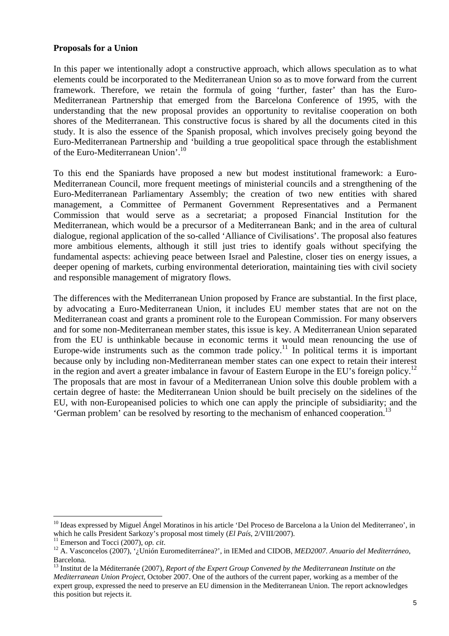#### **Proposals for a Union**

In this paper we intentionally adopt a constructive approach, which allows speculation as to what elements could be incorporated to the Mediterranean Union so as to move forward from the current framework. Therefore, we retain the formula of going 'further, faster' than has the Euro-Mediterranean Partnership that emerged from the Barcelona Conference of 1995, with the understanding that the new proposal provides an opportunity to revitalise cooperation on both shores of the Mediterranean. This constructive focus is shared by all the documents cited in this study. It is also the essence of the Spanish proposal, which involves precisely going beyond the Euro-Mediterranean Partnership and 'building a true geopolitical space through the establishment of the Euro-Mediterranean Union'.10

To this end the Spaniards have proposed a new but modest institutional framework: a Euro-Mediterranean Council, more frequent meetings of ministerial councils and a strengthening of the Euro-Mediterranean Parliamentary Assembly; the creation of two new entities with shared management, a Committee of Permanent Government Representatives and a Permanent Commission that would serve as a secretariat; a proposed Financial Institution for the Mediterranean, which would be a precursor of a Mediterranean Bank; and in the area of cultural dialogue, regional application of the so-called 'Alliance of Civilisations'. The proposal also features more ambitious elements, although it still just tries to identify goals without specifying the fundamental aspects: achieving peace between Israel and Palestine, closer ties on energy issues, a deeper opening of markets, curbing environmental deterioration, maintaining ties with civil society and responsible management of migratory flows.

The differences with the Mediterranean Union proposed by France are substantial. In the first place, by advocating a Euro-Mediterranean Union, it includes EU member states that are not on the Mediterranean coast and grants a prominent role to the European Commission. For many observers and for some non-Mediterranean member states, this issue is key. A Mediterranean Union separated from the EU is unthinkable because in economic terms it would mean renouncing the use of Europe-wide instruments such as the common trade policy.<sup>11</sup> In political terms it is important because only by including non-Mediterranean member states can one expect to retain their interest in the region and avert a greater imbalance in favour of Eastern Europe in the EU's foreign policy.<sup>12</sup> The proposals that are most in favour of a Mediterranean Union solve this double problem with a certain degree of haste: the Mediterranean Union should be built precisely on the sidelines of the EU, with non-Europeanised policies to which one can apply the principle of subsidiarity; and the 'German problem' can be resolved by resorting to the mechanism of enhanced cooperation.13

<sup>&</sup>lt;sup>10</sup> Ideas expressed by Miguel Ángel Moratinos in his article 'Del Proceso de Barcelona a la Union del Mediterraneo', in which he calls President Sarkozy's proposal most timely (*El País*, 2/VIII/2007).

<sup>&</sup>lt;sup>11</sup> Emerson and Tocci (2007), *op. cit.*<br><sup>12</sup> A. Vasconcelos (2007), '¿Unión Euromediterránea?', in IEMed and CIDOB, *MED2007. Anuario del Mediterráneo*, Barcelona.

<sup>13</sup> Institut de la Méditerranée (2007), *Report of the Expert Group Convened by the Mediterranean Institute on the Mediterranean Union Project*, October 2007. One of the authors of the current paper, working as a member of the expert group, expressed the need to preserve an EU dimension in the Mediterranean Union. The report acknowledges this position but rejects it.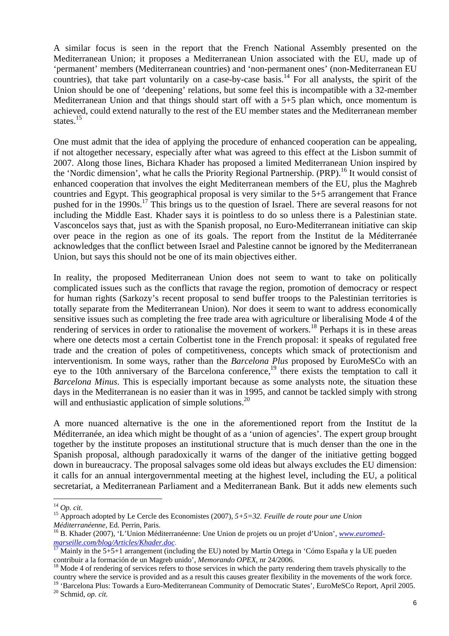A similar focus is seen in the report that the French National Assembly presented on the Mediterranean Union; it proposes a Mediterranean Union associated with the EU, made up of 'permanent' members (Mediterranean countries) and 'non-permanent ones' (non-Mediterranean EU countries), that take part voluntarily on a case-by-case basis.<sup>14</sup> For all analysts, the spirit of the Union should be one of 'deepening' relations, but some feel this is incompatible with a 32-member Mediterranean Union and that things should start off with a 5+5 plan which, once momentum is achieved, could extend naturally to the rest of the EU member states and the Mediterranean member states.<sup>15</sup>

One must admit that the idea of applying the procedure of enhanced cooperation can be appealing, if not altogether necessary, especially after what was agreed to this effect at the Lisbon summit of 2007. Along those lines, Bichara Khader has proposed a limited Mediterranean Union inspired by the 'Nordic dimension', what he calls the Priority Regional Partnership. (PRP).<sup>16</sup> It would consist of enhanced cooperation that involves the eight Mediterranean members of the EU, plus the Maghreb countries and Egypt. This geographical proposal is very similar to the 5+5 arrangement that France pushed for in the 1990s.17 This brings us to the question of Israel. There are several reasons for not including the Middle East. Khader says it is pointless to do so unless there is a Palestinian state. Vasconcelos says that, just as with the Spanish proposal, no Euro-Mediterranean initiative can skip over peace in the region as one of its goals. The report from the Institut de la Méditerranée acknowledges that the conflict between Israel and Palestine cannot be ignored by the Mediterranean Union, but says this should not be one of its main objectives either.

In reality, the proposed Mediterranean Union does not seem to want to take on politically complicated issues such as the conflicts that ravage the region, promotion of democracy or respect for human rights (Sarkozy's recent proposal to send buffer troops to the Palestinian territories is totally separate from the Mediterranean Union). Nor does it seem to want to address economically sensitive issues such as completing the free trade area with agriculture or liberalising Mode 4 of the rendering of services in order to rationalise the movement of workers.<sup>18</sup> Perhaps it is in these areas where one detects most a certain Colbertist tone in the French proposal: it speaks of regulated free trade and the creation of poles of competitiveness, concepts which smack of protectionism and interventionism. In some ways, rather than the *Barcelona Plus* proposed by EuroMeSCo with an eye to the 10th anniversary of the Barcelona conference,  $19$  there exists the temptation to call it *Barcelona Minus*. This is especially important because as some analysts note, the situation these days in the Mediterranean is no easier than it was in 1995, and cannot be tackled simply with strong will and enthusiastic application of simple solutions.<sup>20</sup>

A more nuanced alternative is the one in the aforementioned report from the Institut de la Méditerranée, an idea which might be thought of as a 'union of agencies'. The expert group brought together by the institute proposes an institutional structure that is much denser than the one in the Spanish proposal, although paradoxically it warns of the danger of the initiative getting bogged down in bureaucracy. The proposal salvages some old ideas but always excludes the EU dimension: it calls for an annual intergovernmental meeting at the highest level, including the EU, a political secretariat, a Mediterranean Parliament and a Mediterranean Bank. But it adds new elements such

 $^{14}$  Op. cit.

<sup>&</sup>lt;sup>15</sup> Approach adopted by Le Cercle des Economistes (2007),  $5+5=32$ . Feuille de route pour une Union *Méditerranéenne*, Ed. Perrin, Paris.

<sup>&</sup>lt;sup>16</sup> B. Khader (2007), 'L'Union Méditerranéenne: Une Union de projets ou un projet d'Union', *www.euromedmarseille.com/blog/Articles/Khader.doc.*<br><sup>17</sup> Mainly in the 5+5+1 arrangement (including the EU) noted by Martín Ortega in 'Cómo España y la UE pueden

contribuir a la formación de un Magreb unido', *Memorando OPEX*, nr 24/2006.<br><sup>18</sup> Mode 4 of rendering of services refers to those services in which the party rendering them travels physically to the

country where the service is provided and as a result this causes greater flexibility in the movements of the work force.

<sup>&</sup>lt;sup>19</sup> 'Barcelona Plus: Towards a Euro-Mediterranean Community of Democratic States', EuroMeSCo Report, April 2005.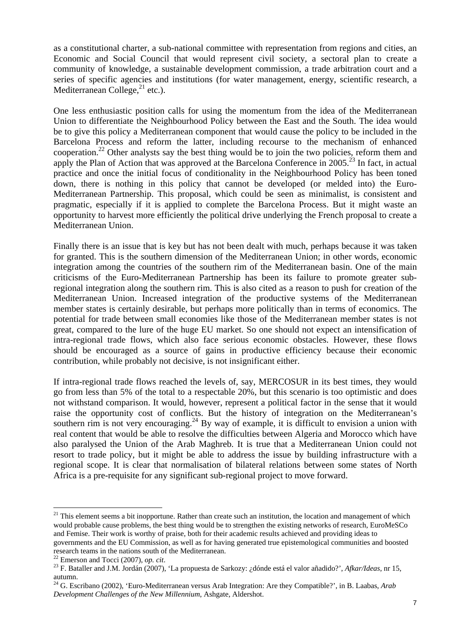as a constitutional charter, a sub-national committee with representation from regions and cities, an Economic and Social Council that would represent civil society, a sectoral plan to create a community of knowledge, a sustainable development commission, a trade arbitration court and a series of specific agencies and institutions (for water management, energy, scientific research, a Mediterranean College, $^{21}$  etc.).

One less enthusiastic position calls for using the momentum from the idea of the Mediterranean Union to differentiate the Neighbourhood Policy between the East and the South. The idea would be to give this policy a Mediterranean component that would cause the policy to be included in the Barcelona Process and reform the latter, including recourse to the mechanism of enhanced cooperation.<sup>22</sup> Other analysts say the best thing would be to join the two policies, reform them and apply the Plan of Action that was approved at the Barcelona Conference in 2005.<sup>23</sup> In fact, in actual practice and once the initial focus of conditionality in the Neighbourhood Policy has been toned down, there is nothing in this policy that cannot be developed (or melded into) the Euro-Mediterranean Partnership. This proposal, which could be seen as minimalist, is consistent and pragmatic, especially if it is applied to complete the Barcelona Process. But it might waste an opportunity to harvest more efficiently the political drive underlying the French proposal to create a Mediterranean Union.

Finally there is an issue that is key but has not been dealt with much, perhaps because it was taken for granted. This is the southern dimension of the Mediterranean Union; in other words, economic integration among the countries of the southern rim of the Mediterranean basin. One of the main criticisms of the Euro-Mediterranean Partnership has been its failure to promote greater subregional integration along the southern rim. This is also cited as a reason to push for creation of the Mediterranean Union. Increased integration of the productive systems of the Mediterranean member states is certainly desirable, but perhaps more politically than in terms of economics. The potential for trade between small economies like those of the Mediterranean member states is not great, compared to the lure of the huge EU market. So one should not expect an intensification of intra-regional trade flows, which also face serious economic obstacles. However, these flows should be encouraged as a source of gains in productive efficiency because their economic contribution, while probably not decisive, is not insignificant either.

If intra-regional trade flows reached the levels of, say, MERCOSUR in its best times, they would go from less than 5% of the total to a respectable 20%, but this scenario is too optimistic and does not withstand comparison. It would, however, represent a political factor in the sense that it would raise the opportunity cost of conflicts. But the history of integration on the Mediterranean's southern rim is not very encouraging.<sup>24</sup> By way of example, it is difficult to envision a union with real content that would be able to resolve the difficulties between Algeria and Morocco which have also paralysed the Union of the Arab Maghreb. It is true that a Mediterranean Union could not resort to trade policy, but it might be able to address the issue by building infrastructure with a regional scope. It is clear that normalisation of bilateral relations between some states of North Africa is a pre-requisite for any significant sub-regional project to move forward.

 $21$  This element seems a bit inopportune. Rather than create such an institution, the location and management of which would probable cause problems, the best thing would be to strengthen the existing networks of research, EuroMeSCo and Femise. Their work is worthy of praise, both for their academic results achieved and providing ideas to governments and the EU Commission, as well as for having generated true epistemological communities and boosted research teams in the nations south of the Mediterranean.<br><sup>22</sup> Emerson and Tocci (2007), op. cit.

<sup>&</sup>lt;sup>23</sup> F. Bataller and J.M. Jordán (2007), 'La propuesta de Sarkozy: ¿dónde está el valor añadido?', *Afkar/Ideas*, nr 15, autumn.

<sup>24</sup> G. Escribano (2002), 'Euro-Mediterranean versus Arab Integration: Are they Compatible?', in B. Laabas, *Arab Development Challenges of the New Millennium*, Ashgate, Aldershot.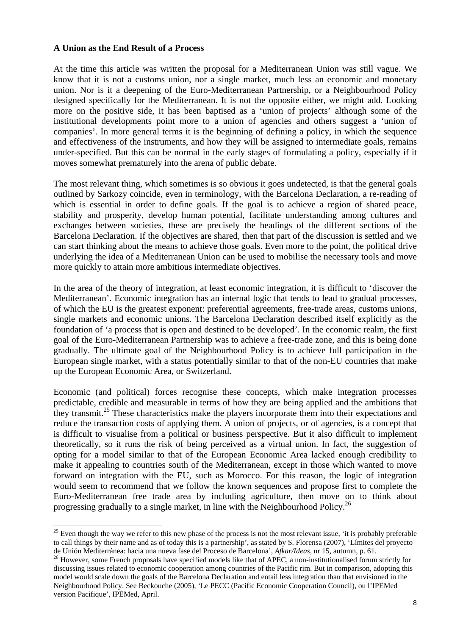#### **A Union as the End Result of a Process**

 $\overline{a}$ 

At the time this article was written the proposal for a Mediterranean Union was still vague. We know that it is not a customs union, nor a single market, much less an economic and monetary union. Nor is it a deepening of the Euro-Mediterranean Partnership, or a Neighbourhood Policy designed specifically for the Mediterranean. It is not the opposite either, we might add. Looking more on the positive side, it has been baptised as a 'union of projects' although some of the institutional developments point more to a union of agencies and others suggest a 'union of companies'. In more general terms it is the beginning of defining a policy, in which the sequence and effectiveness of the instruments, and how they will be assigned to intermediate goals, remains under-specified. But this can be normal in the early stages of formulating a policy, especially if it moves somewhat prematurely into the arena of public debate.

The most relevant thing, which sometimes is so obvious it goes undetected, is that the general goals outlined by Sarkozy coincide, even in terminology, with the Barcelona Declaration, a re-reading of which is essential in order to define goals. If the goal is to achieve a region of shared peace, stability and prosperity, develop human potential, facilitate understanding among cultures and exchanges between societies, these are precisely the headings of the different sections of the Barcelona Declaration. If the objectives are shared, then that part of the discussion is settled and we can start thinking about the means to achieve those goals. Even more to the point, the political drive underlying the idea of a Mediterranean Union can be used to mobilise the necessary tools and move more quickly to attain more ambitious intermediate objectives.

In the area of the theory of integration, at least economic integration, it is difficult to 'discover the Mediterranean'. Economic integration has an internal logic that tends to lead to gradual processes, of which the EU is the greatest exponent: preferential agreements, free-trade areas, customs unions, single markets and economic unions. The Barcelona Declaration described itself explicitly as the foundation of 'a process that is open and destined to be developed'. In the economic realm, the first goal of the Euro-Mediterranean Partnership was to achieve a free-trade zone, and this is being done gradually. The ultimate goal of the Neighbourhood Policy is to achieve full participation in the European single market, with a status potentially similar to that of the non-EU countries that make up the European Economic Area, or Switzerland.

Economic (and political) forces recognise these concepts, which make integration processes predictable, credible and measurable in terms of how they are being applied and the ambitions that they transmit.<sup>25</sup> These characteristics make the players incorporate them into their expectations and reduce the transaction costs of applying them. A union of projects, or of agencies, is a concept that is difficult to visualise from a political or business perspective. But it also difficult to implement theoretically, so it runs the risk of being perceived as a virtual union. In fact, the suggestion of opting for a model similar to that of the European Economic Area lacked enough credibility to make it appealing to countries south of the Mediterranean, except in those which wanted to move forward on integration with the EU, such as Morocco. For this reason, the logic of integration would seem to recommend that we follow the known sequences and propose first to complete the Euro-Mediterranean free trade area by including agriculture, then move on to think about progressing gradually to a single market, in line with the Neighbourhood Policy.<sup>26</sup>

 $25$  Even though the way we refer to this new phase of the process is not the most relevant issue, 'it is probably preferable to call things by their name and as of today this is a partnership', as stated by S. Florensa (2007), 'Límites del proyecto de Unión Mediterránea: hacia una nueva fase del Proceso de Barcelona', Afkar/Ideas, nr 15, autumn, p. 61.<br><sup>26</sup> However, some French proposals have specified models like that of APEC, a non-institutionalised forum strictly

discussing issues related to economic cooperation among countries of the Pacific rim. But in comparison, adopting this model would scale down the goals of the Barcelona Declaration and entail less integration than that envisioned in the Neighbourhood Policy. See Beckouche (2005), 'Le PECC (Pacific Economic Cooperation Council), ou l'IPEMed version Pacifique', IPEMed, April.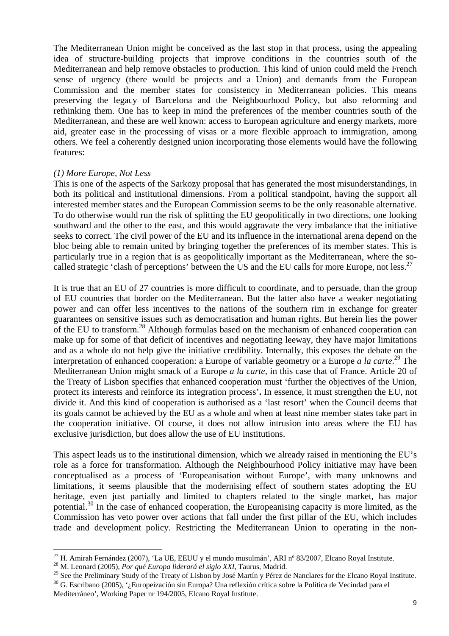The Mediterranean Union might be conceived as the last stop in that process, using the appealing idea of structure-building projects that improve conditions in the countries south of the Mediterranean and help remove obstacles to production. This kind of union could meld the French sense of urgency (there would be projects and a Union) and demands from the European Commission and the member states for consistency in Mediterranean policies. This means preserving the legacy of Barcelona and the Neighbourhood Policy, but also reforming and rethinking them. One has to keep in mind the preferences of the member countries south of the Mediterranean, and these are well known: access to European agriculture and energy markets, more aid, greater ease in the processing of visas or a more flexible approach to immigration, among others. We feel a coherently designed union incorporating those elements would have the following features:

#### *(1) More Europe, Not Less*

This is one of the aspects of the Sarkozy proposal that has generated the most misunderstandings, in both its political and institutional dimensions. From a political standpoint, having the support all interested member states and the European Commission seems to be the only reasonable alternative. To do otherwise would run the risk of splitting the EU geopolitically in two directions, one looking southward and the other to the east, and this would aggravate the very imbalance that the initiative seeks to correct. The civil power of the EU and its influence in the international arena depend on the bloc being able to remain united by bringing together the preferences of its member states. This is particularly true in a region that is as geopolitically important as the Mediterranean, where the socalled strategic 'clash of perceptions' between the US and the EU calls for more Europe, not less.<sup>27</sup>

It is true that an EU of 27 countries is more difficult to coordinate, and to persuade, than the group of EU countries that border on the Mediterranean. But the latter also have a weaker negotiating power and can offer less incentives to the nations of the southern rim in exchange for greater guarantees on sensitive issues such as democratisation and human rights. But herein lies the power of the EU to transform.<sup>28</sup> Although formulas based on the mechanism of enhanced cooperation can make up for some of that deficit of incentives and negotiating leeway, they have major limitations and as a whole do not help give the initiative credibility. Internally, this exposes the debate on the interpretation of enhanced cooperation: a Europe of variable geometry or a Europe *a la carte*. 29 The Mediterranean Union might smack of a Europe *a la carte*, in this case that of France. Article 20 of the Treaty of Lisbon specifies that enhanced cooperation must 'further the objectives of the Union, protect its interests and reinforce its integration process'**.** In essence, it must strengthen the EU, not divide it. And this kind of cooperation is authorised as a 'last resort' when the Council deems that its goals cannot be achieved by the EU as a whole and when at least nine member states take part in the cooperation initiative. Of course, it does not allow intrusion into areas where the EU has exclusive jurisdiction, but does allow the use of EU institutions.

This aspect leads us to the institutional dimension, which we already raised in mentioning the EU's role as a force for transformation. Although the Neighbourhood Policy initiative may have been conceptualised as a process of 'Europeanisation without Europe', with many unknowns and limitations, it seems plausible that the modernising effect of southern states adopting the EU heritage, even just partially and limited to chapters related to the single market, has major potential.<sup>30</sup> In the case of enhanced cooperation, the Europeanising capacity is more limited, as the Commission has veto power over actions that fall under the first pillar of the EU, which includes trade and development policy. Restricting the Mediterranean Union to operating in the non-

<sup>27</sup> H. Amirah Fernández (2007), 'La UE, EEUU y el mundo musulmán', ARI nº 83/2007, Elcano Royal Institute. 28 M. Leonard (2005), *Por qué Europa liderará el siglo XXI*, Taurus, Madrid.

<sup>&</sup>lt;sup>29</sup> See the Preliminary Study of the Treaty of Lisbon by José Martín y Pérez de Nanclares for the Elcano Royal Institute.<br><sup>30</sup> G. Escribano (2005), '*i* Europeización sin Europa? Una reflexión crítica sobre la Política d

Mediterráneo', Working Paper nr 194/2005, Elcano Royal Institute.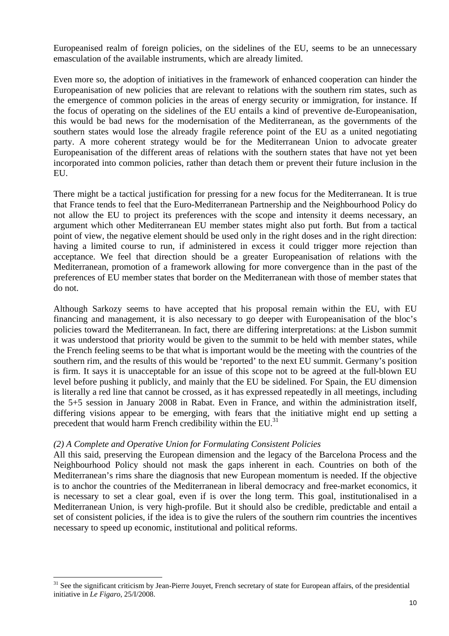Europeanised realm of foreign policies, on the sidelines of the EU, seems to be an unnecessary emasculation of the available instruments, which are already limited.

Even more so, the adoption of initiatives in the framework of enhanced cooperation can hinder the Europeanisation of new policies that are relevant to relations with the southern rim states, such as the emergence of common policies in the areas of energy security or immigration, for instance. If the focus of operating on the sidelines of the EU entails a kind of preventive de-Europeanisation, this would be bad news for the modernisation of the Mediterranean, as the governments of the southern states would lose the already fragile reference point of the EU as a united negotiating party. A more coherent strategy would be for the Mediterranean Union to advocate greater Europeanisation of the different areas of relations with the southern states that have not yet been incorporated into common policies, rather than detach them or prevent their future inclusion in the EU.

There might be a tactical justification for pressing for a new focus for the Mediterranean. It is true that France tends to feel that the Euro-Mediterranean Partnership and the Neighbourhood Policy do not allow the EU to project its preferences with the scope and intensity it deems necessary, an argument which other Mediterranean EU member states might also put forth. But from a tactical point of view, the negative element should be used only in the right doses and in the right direction: having a limited course to run, if administered in excess it could trigger more rejection than acceptance. We feel that direction should be a greater Europeanisation of relations with the Mediterranean, promotion of a framework allowing for more convergence than in the past of the preferences of EU member states that border on the Mediterranean with those of member states that do not.

Although Sarkozy seems to have accepted that his proposal remain within the EU, with EU financing and management, it is also necessary to go deeper with Europeanisation of the bloc's policies toward the Mediterranean. In fact, there are differing interpretations: at the Lisbon summit it was understood that priority would be given to the summit to be held with member states, while the French feeling seems to be that what is important would be the meeting with the countries of the southern rim, and the results of this would be 'reported' to the next EU summit. Germany's position is firm. It says it is unacceptable for an issue of this scope not to be agreed at the full-blown EU level before pushing it publicly, and mainly that the EU be sidelined. For Spain, the EU dimension is literally a red line that cannot be crossed, as it has expressed repeatedly in all meetings, including the 5+5 session in January 2008 in Rabat. Even in France, and within the administration itself, differing visions appear to be emerging, with fears that the initiative might end up setting a precedent that would harm French credibility within the  $EU^{31}$ .

#### *(2) A Complete and Operative Union for Formulating Consistent Policies*

 $\overline{a}$ 

All this said, preserving the European dimension and the legacy of the Barcelona Process and the Neighbourhood Policy should not mask the gaps inherent in each. Countries on both of the Mediterranean's rims share the diagnosis that new European momentum is needed. If the objective is to anchor the countries of the Mediterranean in liberal democracy and free-market economics, it is necessary to set a clear goal, even if is over the long term. This goal, institutionalised in a Mediterranean Union, is very high-profile. But it should also be credible, predictable and entail a set of consistent policies, if the idea is to give the rulers of the southern rim countries the incentives necessary to speed up economic, institutional and political reforms.

<sup>&</sup>lt;sup>31</sup> See the significant criticism by Jean-Pierre Jouyet, French secretary of state for European affairs, of the presidential initiative in *Le Figaro*, 25/I/2008.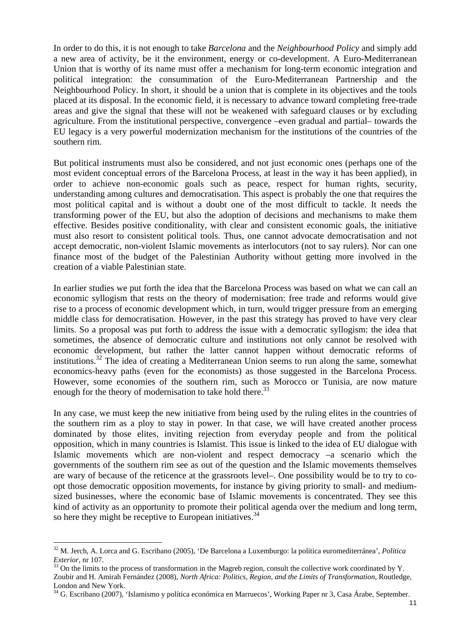In order to do this, it is not enough to take *Barcelona* and the *Neighbourhood Policy* and simply add a new area of activity, be it the environment, energy or co-development. A Euro-Mediterranean Union that is worthy of its name must offer a mechanism for long-term economic integration and political integration: the consummation of the Euro-Mediterranean Partnership and the Neighbourhood Policy. In short, it should be a union that is complete in its objectives and the tools placed at its disposal. In the economic field, it is necessary to advance toward completing free-trade areas and give the signal that these will not be weakened with safeguard clauses or by excluding agriculture. From the institutional perspective, convergence –even gradual and partial– towards the EU legacy is a very powerful modernization mechanism for the institutions of the countries of the southern rim.

But political instruments must also be considered, and not just economic ones (perhaps one of the most evident conceptual errors of the Barcelona Process, at least in the way it has been applied), in order to achieve non-economic goals such as peace, respect for human rights, security, understanding among cultures and democratisation. This aspect is probably the one that requires the most political capital and is without a doubt one of the most difficult to tackle. It needs the transforming power of the EU, but also the adoption of decisions and mechanisms to make them effective. Besides positive conditionality, with clear and consistent economic goals, the initiative must also resort to consistent political tools. Thus, one cannot advocate democratisation and not accept democratic, non-violent Islamic movements as interlocutors (not to say rulers). Nor can one finance most of the budget of the Palestinian Authority without getting more involved in the creation of a viable Palestinian state.

In earlier studies we put forth the idea that the Barcelona Process was based on what we can call an economic syllogism that rests on the theory of modernisation: free trade and reforms would give rise to a process of economic development which, in turn, would trigger pressure from an emerging middle class for democratisation. However, in the past this strategy has proved to have very clear limits. So a proposal was put forth to address the issue with a democratic syllogism: the idea that sometimes, the absence of democratic culture and institutions not only cannot be resolved with economic development, but rather the latter cannot happen without democratic reforms of institutions.32 The idea of creating a Mediterranean Union seems to run along the same, somewhat economics-heavy paths (even for the economists) as those suggested in the Barcelona Process. However, some economies of the southern rim, such as Morocco or Tunisia, are now mature enough for the theory of modernisation to take hold there.<sup>33</sup>

In any case, we must keep the new initiative from being used by the ruling elites in the countries of the southern rim as a ploy to stay in power. In that case, we will have created another process dominated by those elites, inviting rejection from everyday people and from the political opposition, which in many countries is Islamist. This issue is linked to the idea of EU dialogue with Islamic movements which are non-violent and respect democracy –a scenario which the governments of the southern rim see as out of the question and the Islamic movements themselves are wary of because of the reticence at the grassroots level–. One possibility would be to try to coopt those democratic opposition movements, for instance by giving priority to small- and mediumsized businesses, where the economic base of Islamic movements is concentrated. They see this kind of activity as an opportunity to promote their political agenda over the medium and long term, so here they might be receptive to European initiatives.  $34$ 

<sup>32</sup> M. Jerch, A. Lorca and G. Escribano (2005), 'De Barcelona a Luxemburgo: la política euromediterránea', *Política Exterior*, nr 107.<br><sup>33</sup> On the limits to the process of transformation in the Magreb region, consult the collective work coordinated by Y.

Zoubir and H. Amirah Fernández (2008), *North Africa: Politics, Region, and the Limits of Transformation*, Routledge, London and New York.

<sup>&</sup>lt;sup>34</sup> G. Escribano (2007), 'Islamismo y política económica en Marruecos', Working Paper nr 3, Casa Árabe, September.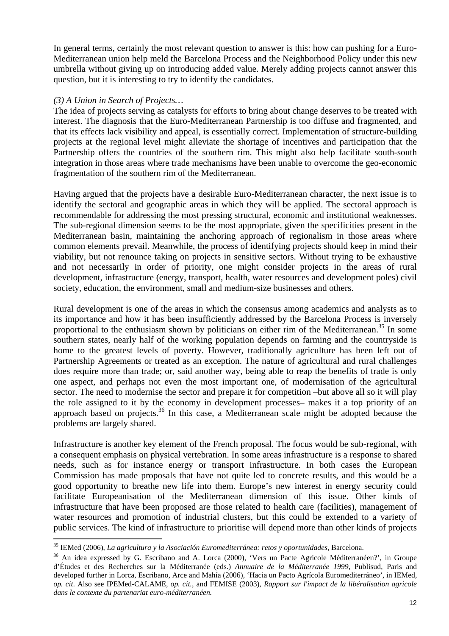In general terms, certainly the most relevant question to answer is this: how can pushing for a Euro-Mediterranean union help meld the Barcelona Process and the Neighborhood Policy under this new umbrella without giving up on introducing added value. Merely adding projects cannot answer this question, but it is interesting to try to identify the candidates.

#### *(3) A Union in Search of Projects…*

 $\overline{a}$ 

The idea of projects serving as catalysts for efforts to bring about change deserves to be treated with interest. The diagnosis that the Euro-Mediterranean Partnership is too diffuse and fragmented, and that its effects lack visibility and appeal, is essentially correct. Implementation of structure-building projects at the regional level might alleviate the shortage of incentives and participation that the Partnership offers the countries of the southern rim. This might also help facilitate south-south integration in those areas where trade mechanisms have been unable to overcome the geo-economic fragmentation of the southern rim of the Mediterranean.

Having argued that the projects have a desirable Euro-Mediterranean character, the next issue is to identify the sectoral and geographic areas in which they will be applied. The sectoral approach is recommendable for addressing the most pressing structural, economic and institutional weaknesses. The sub-regional dimension seems to be the most appropriate, given the specificities present in the Mediterranean basin, maintaining the anchoring approach of regionalism in those areas where common elements prevail. Meanwhile, the process of identifying projects should keep in mind their viability, but not renounce taking on projects in sensitive sectors. Without trying to be exhaustive and not necessarily in order of priority, one might consider projects in the areas of rural development, infrastructure (energy, transport, health, water resources and development poles) civil society, education, the environment, small and medium-size businesses and others.

Rural development is one of the areas in which the consensus among academics and analysts as to its importance and how it has been insufficiently addressed by the Barcelona Process is inversely proportional to the enthusiasm shown by politicians on either rim of the Mediterranean.<sup>35</sup> In some southern states, nearly half of the working population depends on farming and the countryside is home to the greatest levels of poverty. However, traditionally agriculture has been left out of Partnership Agreements or treated as an exception. The nature of agricultural and rural challenges does require more than trade; or, said another way, being able to reap the benefits of trade is only one aspect, and perhaps not even the most important one, of modernisation of the agricultural sector. The need to modernise the sector and prepare it for competition –but above all so it will play the role assigned to it by the economy in development processes– makes it a top priority of an approach based on projects.<sup>36</sup> In this case, a Mediterranean scale might be adopted because the problems are largely shared.

Infrastructure is another key element of the French proposal. The focus would be sub-regional, with a consequent emphasis on physical vertebration. In some areas infrastructure is a response to shared needs, such as for instance energy or transport infrastructure. In both cases the European Commission has made proposals that have not quite led to concrete results, and this would be a good opportunity to breathe new life into them. Europe's new interest in energy security could facilitate Europeanisation of the Mediterranean dimension of this issue. Other kinds of infrastructure that have been proposed are those related to health care (facilities), management of water resources and promotion of industrial clusters, but this could be extended to a variety of public services. The kind of infrastructure to prioritise will depend more than other kinds of projects

<sup>&</sup>lt;sup>35</sup> IEMed (2006), *La agricultura y la Asociación Euromediterránea: retos y oportunidades*, Barcelona.<br><sup>36</sup> An idea expressed by G. Escribano and A. Lorca (2000), 'Vers un Pacte Agricole Méditerranéen?', in Groupe

d'Études et des Recherches sur la Méditerranée (eds.) *Annuaire de la Méditerranée 1999*, Publisud, Paris and developed further in Lorca, Escribano, Arce and Mahía (2006), 'Hacia un Pacto Agrícola Euromediterráneo', in IEMed, *op. cit*. Also see IPEMed-CALAME, *op. cit.*, and FEMISE (2003), *Rapport sur l'impact de la libéralisation agricole dans le contexte du partenariat euro-méditerranéen.*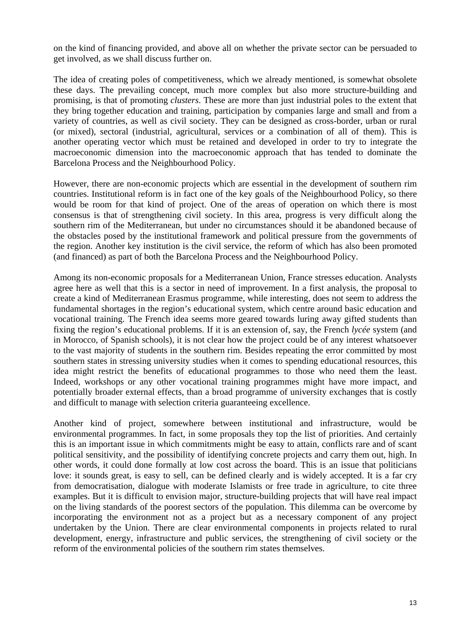on the kind of financing provided, and above all on whether the private sector can be persuaded to get involved, as we shall discuss further on.

The idea of creating poles of competitiveness, which we already mentioned, is somewhat obsolete these days. The prevailing concept, much more complex but also more structure-building and promising, is that of promoting *clusters*. These are more than just industrial poles to the extent that they bring together education and training, participation by companies large and small and from a variety of countries, as well as civil society. They can be designed as cross-border, urban or rural (or mixed), sectoral (industrial, agricultural, services or a combination of all of them). This is another operating vector which must be retained and developed in order to try to integrate the macroeconomic dimension into the macroeconomic approach that has tended to dominate the Barcelona Process and the Neighbourhood Policy.

However, there are non-economic projects which are essential in the development of southern rim countries. Institutional reform is in fact one of the key goals of the Neighbourhood Policy, so there would be room for that kind of project. One of the areas of operation on which there is most consensus is that of strengthening civil society. In this area, progress is very difficult along the southern rim of the Mediterranean, but under no circumstances should it be abandoned because of the obstacles posed by the institutional framework and political pressure from the governments of the region. Another key institution is the civil service, the reform of which has also been promoted (and financed) as part of both the Barcelona Process and the Neighbourhood Policy.

Among its non-economic proposals for a Mediterranean Union, France stresses education. Analysts agree here as well that this is a sector in need of improvement. In a first analysis, the proposal to create a kind of Mediterranean Erasmus programme, while interesting, does not seem to address the fundamental shortages in the region's educational system, which centre around basic education and vocational training. The French idea seems more geared towards luring away gifted students than fixing the region's educational problems. If it is an extension of, say, the French *lycée* system (and in Morocco, of Spanish schools), it is not clear how the project could be of any interest whatsoever to the vast majority of students in the southern rim. Besides repeating the error committed by most southern states in stressing university studies when it comes to spending educational resources, this idea might restrict the benefits of educational programmes to those who need them the least. Indeed, workshops or any other vocational training programmes might have more impact, and potentially broader external effects, than a broad programme of university exchanges that is costly and difficult to manage with selection criteria guaranteeing excellence.

Another kind of project, somewhere between institutional and infrastructure, would be environmental programmes. In fact, in some proposals they top the list of priorities. And certainly this is an important issue in which commitments might be easy to attain, conflicts rare and of scant political sensitivity, and the possibility of identifying concrete projects and carry them out, high. In other words, it could done formally at low cost across the board. This is an issue that politicians love: it sounds great, is easy to sell, can be defined clearly and is widely accepted. It is a far cry from democratisation, dialogue with moderate Islamists or free trade in agriculture, to cite three examples. But it is difficult to envision major, structure-building projects that will have real impact on the living standards of the poorest sectors of the population. This dilemma can be overcome by incorporating the environment not as a project but as a necessary component of any project undertaken by the Union. There are clear environmental components in projects related to rural development, energy, infrastructure and public services, the strengthening of civil society or the reform of the environmental policies of the southern rim states themselves.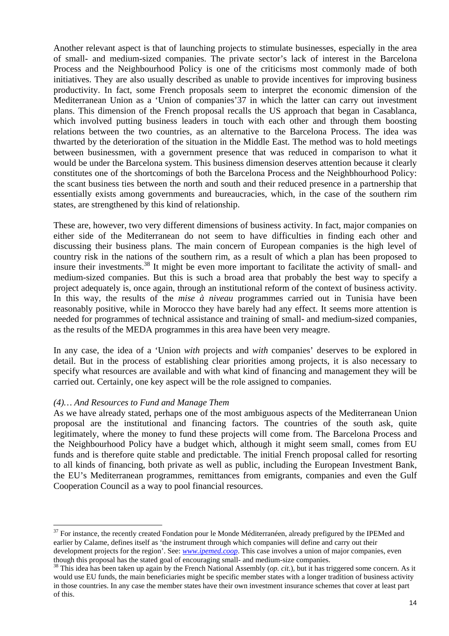Another relevant aspect is that of launching projects to stimulate businesses, especially in the area of small- and medium-sized companies. The private sector's lack of interest in the Barcelona Process and the Neighbourhood Policy is one of the criticisms most commonly made of both initiatives. They are also usually described as unable to provide incentives for improving business productivity. In fact, some French proposals seem to interpret the economic dimension of the Mediterranean Union as a 'Union of companies'37 in which the latter can carry out investment plans. This dimension of the French proposal recalls the US approach that began in Casablanca, which involved putting business leaders in touch with each other and through them boosting relations between the two countries, as an alternative to the Barcelona Process. The idea was thwarted by the deterioration of the situation in the Middle East. The method was to hold meetings between businessmen, with a government presence that was reduced in comparison to what it would be under the Barcelona system. This business dimension deserves attention because it clearly constitutes one of the shortcomings of both the Barcelona Process and the Neighbhourhood Policy: the scant business ties between the north and south and their reduced presence in a partnership that essentially exists among governments and bureaucracies, which, in the case of the southern rim states, are strengthened by this kind of relationship.

These are, however, two very different dimensions of business activity. In fact, major companies on either side of the Mediterranean do not seem to have difficulties in finding each other and discussing their business plans. The main concern of European companies is the high level of country risk in the nations of the southern rim, as a result of which a plan has been proposed to insure their investments.38 It might be even more important to facilitate the activity of small- and medium-sized companies. But this is such a broad area that probably the best way to specify a project adequately is, once again, through an institutional reform of the context of business activity. In this way, the results of the *mise à niveau* programmes carried out in Tunisia have been reasonably positive, while in Morocco they have barely had any effect. It seems more attention is needed for programmes of technical assistance and training of small- and medium-sized companies, as the results of the MEDA programmes in this area have been very meagre.

In any case, the idea of a 'Union *with* projects and *with* companies' deserves to be explored in detail. But in the process of establishing clear priorities among projects, it is also necessary to specify what resources are available and with what kind of financing and management they will be carried out. Certainly, one key aspect will be the role assigned to companies.

#### *(4)… And Resources to Fund and Manage Them*

 $\overline{a}$ 

As we have already stated, perhaps one of the most ambiguous aspects of the Mediterranean Union proposal are the institutional and financing factors. The countries of the south ask, quite legitimately, where the money to fund these projects will come from. The Barcelona Process and the Neighbourhood Policy have a budget which, although it might seem small, comes from EU funds and is therefore quite stable and predictable. The initial French proposal called for resorting to all kinds of financing, both private as well as public, including the European Investment Bank, the EU's Mediterranean programmes, remittances from emigrants, companies and even the Gulf Cooperation Council as a way to pool financial resources.

<sup>&</sup>lt;sup>37</sup> For instance, the recently created Fondation pour le Monde Méditerranéen, already prefigured by the IPEMed and earlier by Calame, defines itself as 'the instrument through which companies will define and carry out their development projects for the region'. See: *www.ipemed.coop*. This case involves a union of major companies, even

though this proposal has the stated goal of encouraging small- and medium-size companies. 38 This idea has been taken up again by the French National Assembly (*op. cit.*), but it has triggered some concern. As it would use EU funds, the main beneficiaries might be specific member states with a longer tradition of business activity in those countries. In any case the member states have their own investment insurance schemes that cover at least part of this.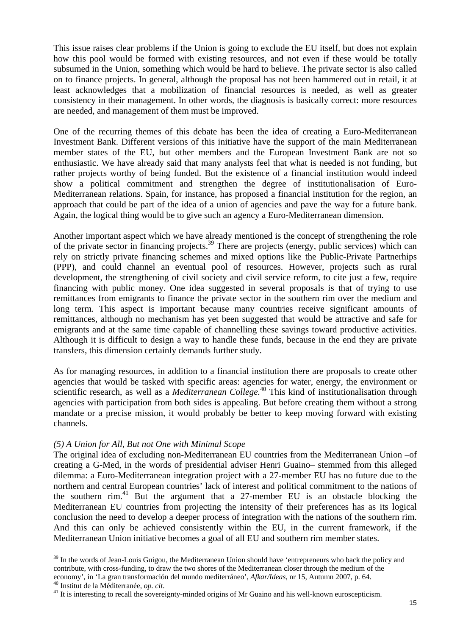This issue raises clear problems if the Union is going to exclude the EU itself, but does not explain how this pool would be formed with existing resources, and not even if these would be totally subsumed in the Union, something which would be hard to believe. The private sector is also called on to finance projects. In general, although the proposal has not been hammered out in retail, it at least acknowledges that a mobilization of financial resources is needed, as well as greater consistency in their management. In other words, the diagnosis is basically correct: more resources are needed, and management of them must be improved.

One of the recurring themes of this debate has been the idea of creating a Euro-Mediterranean Investment Bank. Different versions of this initiative have the support of the main Mediterranean member states of the EU, but other members and the European Investment Bank are not so enthusiastic. We have already said that many analysts feel that what is needed is not funding, but rather projects worthy of being funded. But the existence of a financial institution would indeed show a political commitment and strengthen the degree of institutionalisation of Euro-Mediterranean relations. Spain, for instance, has proposed a financial institution for the region, an approach that could be part of the idea of a union of agencies and pave the way for a future bank. Again, the logical thing would be to give such an agency a Euro-Mediterranean dimension.

Another important aspect which we have already mentioned is the concept of strengthening the role of the private sector in financing projects.<sup>39</sup> There are projects (energy, public services) which can rely on strictly private financing schemes and mixed options like the Public-Private Partnerhips (PPP), and could channel an eventual pool of resources. However, projects such as rural development, the strengthening of civil society and civil service reform, to cite just a few, require financing with public money. One idea suggested in several proposals is that of trying to use remittances from emigrants to finance the private sector in the southern rim over the medium and long term. This aspect is important because many countries receive significant amounts of remittances, although no mechanism has yet been suggested that would be attractive and safe for emigrants and at the same time capable of channelling these savings toward productive activities. Although it is difficult to design a way to handle these funds, because in the end they are private transfers, this dimension certainly demands further study.

As for managing resources, in addition to a financial institution there are proposals to create other agencies that would be tasked with specific areas: agencies for water, energy, the environment or scientific research, as well as a *Mediterranean College.*40 This kind of institutionalisation through agencies with participation from both sides is appealing. But before creating them without a strong mandate or a precise mission, it would probably be better to keep moving forward with existing channels.

#### *(5) A Union for All, But not One with Minimal Scope*

The original idea of excluding non-Mediterranean EU countries from the Mediterranean Union –of creating a G-Med, in the words of presidential adviser Henri Guaino– stemmed from this alleged dilemma: a Euro-Mediterranean integration project with a 27-member EU has no future due to the northern and central European countries' lack of interest and political commitment to the nations of the southern rim.<sup>41</sup> But the argument that a 27-member EU is an obstacle blocking the Mediterranean EU countries from projecting the intensity of their preferences has as its logical conclusion the need to develop a deeper process of integration with the nations of the southern rim. And this can only be achieved consistently within the EU, in the current framework, if the Mediterranean Union initiative becomes a goal of all EU and southern rim member states.

<sup>&</sup>lt;sup>39</sup> In the words of Jean-Louis Guigou, the Mediterranean Union should have 'entrepreneurs who back the policy and contribute, with cross-funding, to draw the two shores of the Mediterranean closer through the medium of the economy', in 'La gran transformación del mundo mediterráneo', Afkar/Ideas, nr 15, Autumn 2007, p. 64.<br><sup>40</sup> Institut de la Méditerranée, *op. cit.*<br><sup>41</sup> It is interesting to recall the sovereignty-minded origins of Mr Guai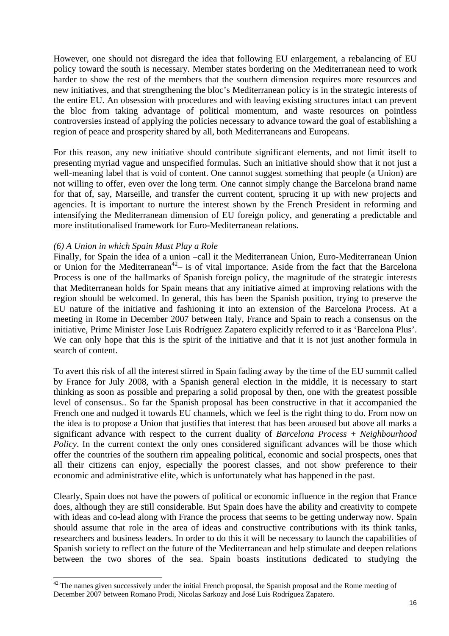However, one should not disregard the idea that following EU enlargement, a rebalancing of EU policy toward the south is necessary. Member states bordering on the Mediterranean need to work harder to show the rest of the members that the southern dimension requires more resources and new initiatives, and that strengthening the bloc's Mediterranean policy is in the strategic interests of the entire EU. An obsession with procedures and with leaving existing structures intact can prevent the bloc from taking advantage of political momentum, and waste resources on pointless controversies instead of applying the policies necessary to advance toward the goal of establishing a region of peace and prosperity shared by all, both Mediterraneans and Europeans.

For this reason, any new initiative should contribute significant elements, and not limit itself to presenting myriad vague and unspecified formulas. Such an initiative should show that it not just a well-meaning label that is void of content. One cannot suggest something that people (a Union) are not willing to offer, even over the long term. One cannot simply change the Barcelona brand name for that of, say, Marseille, and transfer the current content, sprucing it up with new projects and agencies. It is important to nurture the interest shown by the French President in reforming and intensifying the Mediterranean dimension of EU foreign policy, and generating a predictable and more institutionalised framework for Euro-Mediterranean relations.

#### *(6) A Union in which Spain Must Play a Role*

 $\overline{a}$ 

Finally, for Spain the idea of a union –call it the Mediterranean Union, Euro-Mediterranean Union or Union for the Mediterranean<sup>42</sup>– is of vital importance. Aside from the fact that the Barcelona Process is one of the hallmarks of Spanish foreign policy, the magnitude of the strategic interests that Mediterranean holds for Spain means that any initiative aimed at improving relations with the region should be welcomed. In general, this has been the Spanish position, trying to preserve the EU nature of the initiative and fashioning it into an extension of the Barcelona Process. At a meeting in Rome in December 2007 between Italy, France and Spain to reach a consensus on the initiative, Prime Minister Jose Luis Rodríguez Zapatero explicitly referred to it as 'Barcelona Plus'. We can only hope that this is the spirit of the initiative and that it is not just another formula in search of content.

To avert this risk of all the interest stirred in Spain fading away by the time of the EU summit called by France for July 2008, with a Spanish general election in the middle, it is necessary to start thinking as soon as possible and preparing a solid proposal by then, one with the greatest possible level of consensus.. So far the Spanish proposal has been constructive in that it accompanied the French one and nudged it towards EU channels, which we feel is the right thing to do. From now on the idea is to propose a Union that justifies that interest that has been aroused but above all marks a significant advance with respect to the current duality of *Barcelona Process* + *Neighbourhood Policy*. In the current context the only ones considered significant advances will be those which offer the countries of the southern rim appealing political, economic and social prospects, ones that all their citizens can enjoy, especially the poorest classes, and not show preference to their economic and administrative elite, which is unfortunately what has happened in the past.

Clearly, Spain does not have the powers of political or economic influence in the region that France does, although they are still considerable. But Spain does have the ability and creativity to compete with ideas and co-lead along with France the process that seems to be getting underway now. Spain should assume that role in the area of ideas and constructive contributions with its think tanks, researchers and business leaders. In order to do this it will be necessary to launch the capabilities of Spanish society to reflect on the future of the Mediterranean and help stimulate and deepen relations between the two shores of the sea. Spain boasts institutions dedicated to studying the

 $42$  The names given successively under the initial French proposal, the Spanish proposal and the Rome meeting of December 2007 between Romano Prodi, Nicolas Sarkozy and José Luis Rodríguez Zapatero.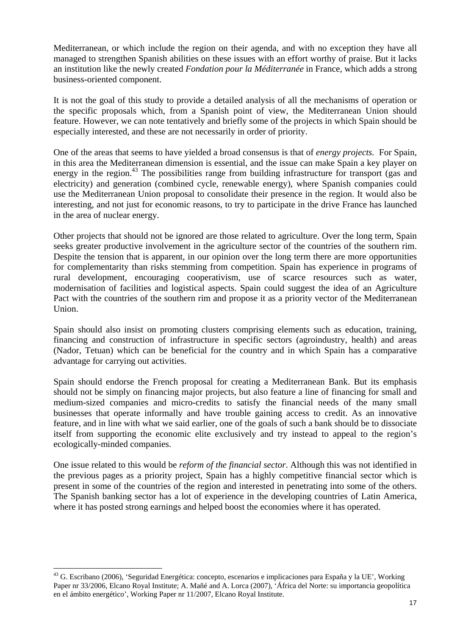Mediterranean, or which include the region on their agenda, and with no exception they have all managed to strengthen Spanish abilities on these issues with an effort worthy of praise. But it lacks an institution like the newly created *Fondation pour la Méditerranée* in France, which adds a strong business-oriented component.

It is not the goal of this study to provide a detailed analysis of all the mechanisms of operation or the specific proposals which, from a Spanish point of view, the Mediterranean Union should feature. However, we can note tentatively and briefly some of the projects in which Spain should be especially interested, and these are not necessarily in order of priority.

One of the areas that seems to have yielded a broad consensus is that of *energy projects.* For Spain, in this area the Mediterranean dimension is essential, and the issue can make Spain a key player on energy in the region.<sup>43</sup> The possibilities range from building infrastructure for transport (gas and electricity) and generation (combined cycle, renewable energy), where Spanish companies could use the Mediterranean Union proposal to consolidate their presence in the region. It would also be interesting, and not just for economic reasons, to try to participate in the drive France has launched in the area of nuclear energy.

Other projects that should not be ignored are those related to agriculture. Over the long term, Spain seeks greater productive involvement in the agriculture sector of the countries of the southern rim. Despite the tension that is apparent, in our opinion over the long term there are more opportunities for complementarity than risks stemming from competition. Spain has experience in programs of rural development, encouraging cooperativism, use of scarce resources such as water, modernisation of facilities and logistical aspects. Spain could suggest the idea of an Agriculture Pact with the countries of the southern rim and propose it as a priority vector of the Mediterranean Union.

Spain should also insist on promoting clusters comprising elements such as education, training, financing and construction of infrastructure in specific sectors (agroindustry, health) and areas (Nador, Tetuan) which can be beneficial for the country and in which Spain has a comparative advantage for carrying out activities.

Spain should endorse the French proposal for creating a Mediterranean Bank. But its emphasis should not be simply on financing major projects, but also feature a line of financing for small and medium-sized companies and micro-credits to satisfy the financial needs of the many small businesses that operate informally and have trouble gaining access to credit. As an innovative feature, and in line with what we said earlier, one of the goals of such a bank should be to dissociate itself from supporting the economic elite exclusively and try instead to appeal to the region's ecologically-minded companies.

One issue related to this would be *reform of the financial sector*. Although this was not identified in the previous pages as a priority project, Spain has a highly competitive financial sector which is present in some of the countries of the region and interested in penetrating into some of the others. The Spanish banking sector has a lot of experience in the developing countries of Latin America, where it has posted strong earnings and helped boost the economies where it has operated.

<sup>&</sup>lt;sup>43</sup> G. Escribano (2006), 'Seguridad Energética: concepto, escenarios e implicaciones para España y la UE', Working Paper nr 33/2006, Elcano Royal Institute; A. Mañé and A. Lorca (2007), 'África del Norte: su importancia geopolítica en el ámbito energético', Working Paper nr 11/2007, Elcano Royal Institute.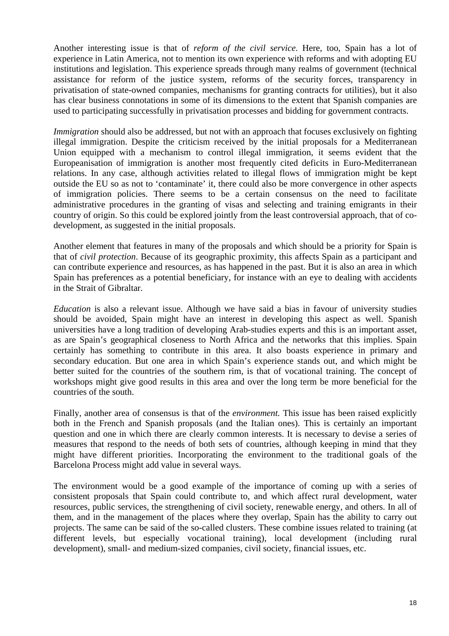Another interesting issue is that of *reform of the civil service*. Here, too, Spain has a lot of experience in Latin America, not to mention its own experience with reforms and with adopting EU institutions and legislation. This experience spreads through many realms of government (technical assistance for reform of the justice system, reforms of the security forces, transparency in privatisation of state-owned companies, mechanisms for granting contracts for utilities), but it also has clear business connotations in some of its dimensions to the extent that Spanish companies are used to participating successfully in privatisation processes and bidding for government contracts.

*Immigration* should also be addressed, but not with an approach that focuses exclusively on fighting illegal immigration. Despite the criticism received by the initial proposals for a Mediterranean Union equipped with a mechanism to control illegal immigration, it seems evident that the Europeanisation of immigration is another most frequently cited deficits in Euro-Mediterranean relations. In any case, although activities related to illegal flows of immigration might be kept outside the EU so as not to 'contaminate' it, there could also be more convergence in other aspects of immigration policies. There seems to be a certain consensus on the need to facilitate administrative procedures in the granting of visas and selecting and training emigrants in their country of origin. So this could be explored jointly from the least controversial approach, that of codevelopment, as suggested in the initial proposals.

Another element that features in many of the proposals and which should be a priority for Spain is that of *civil protection*. Because of its geographic proximity, this affects Spain as a participant and can contribute experience and resources, as has happened in the past. But it is also an area in which Spain has preferences as a potential beneficiary, for instance with an eye to dealing with accidents in the Strait of Gibraltar.

*Education* is also a relevant issue. Although we have said a bias in favour of university studies should be avoided, Spain might have an interest in developing this aspect as well. Spanish universities have a long tradition of developing Arab-studies experts and this is an important asset, as are Spain's geographical closeness to North Africa and the networks that this implies. Spain certainly has something to contribute in this area. It also boasts experience in primary and secondary education. But one area in which Spain's experience stands out, and which might be better suited for the countries of the southern rim, is that of vocational training. The concept of workshops might give good results in this area and over the long term be more beneficial for the countries of the south.

Finally, another area of consensus is that of the *environment.* This issue has been raised explicitly both in the French and Spanish proposals (and the Italian ones). This is certainly an important question and one in which there are clearly common interests. It is necessary to devise a series of measures that respond to the needs of both sets of countries, although keeping in mind that they might have different priorities. Incorporating the environment to the traditional goals of the Barcelona Process might add value in several ways.

The environment would be a good example of the importance of coming up with a series of consistent proposals that Spain could contribute to, and which affect rural development, water resources, public services, the strengthening of civil society, renewable energy, and others. In all of them, and in the management of the places where they overlap, Spain has the ability to carry out projects. The same can be said of the so-called clusters. These combine issues related to training (at different levels, but especially vocational training), local development (including rural development), small- and medium-sized companies, civil society, financial issues, etc.